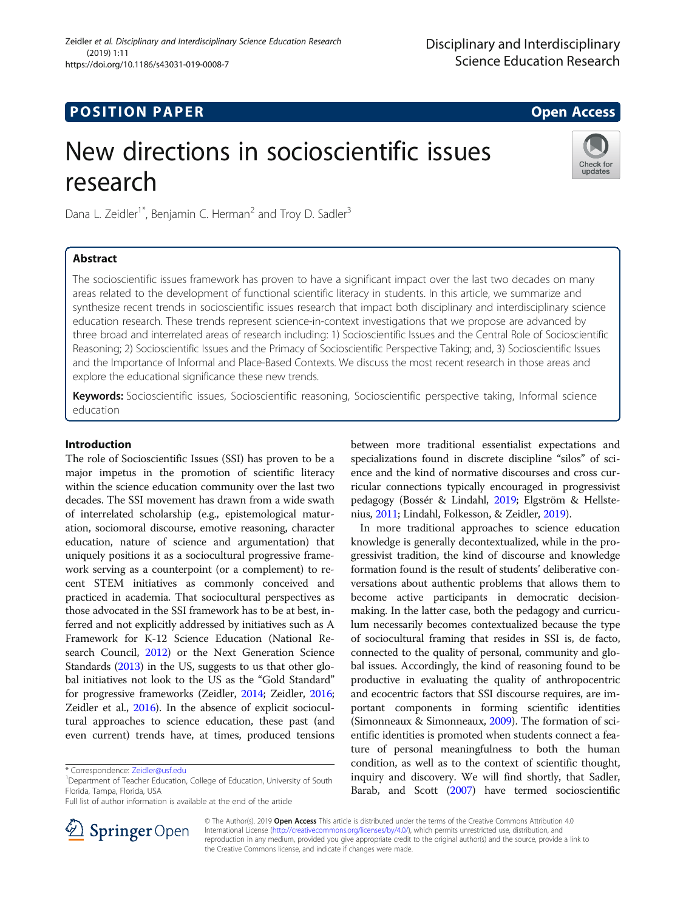https://doi.org/10.1186/s43031-019-0008-7

# **POSITION PAPER** And the set of the set of the set of the set of the set of the set of the set of the set of the set of the set of the set of the set of the set of the set of the set of the set of the set of the set of the

(2019) 1:11

Check for updates

# New directions in socioscientific issues research

Dana L. Zeidler<sup>1\*</sup>, Benjamin C. Herman<sup>2</sup> and Troy D. Sadler<sup>3</sup>

Zeidler et al. Disciplinary and Interdisciplinary Science Education Research

# Abstract

The socioscientific issues framework has proven to have a significant impact over the last two decades on many areas related to the development of functional scientific literacy in students. In this article, we summarize and synthesize recent trends in socioscientific issues research that impact both disciplinary and interdisciplinary science education research. These trends represent science-in-context investigations that we propose are advanced by three broad and interrelated areas of research including: 1) Socioscientific Issues and the Central Role of Socioscientific Reasoning; 2) Socioscientific Issues and the Primacy of Socioscientific Perspective Taking; and, 3) Socioscientific Issues and the Importance of Informal and Place-Based Contexts. We discuss the most recent research in those areas and explore the educational significance these new trends.

Keywords: Socioscientific issues, Socioscientific reasoning, Socioscientific perspective taking, Informal science education

# Introduction

The role of Socioscientific Issues (SSI) has proven to be a major impetus in the promotion of scientific literacy within the science education community over the last two decades. The SSI movement has drawn from a wide swath of interrelated scholarship (e.g., epistemological maturation, sociomoral discourse, emotive reasoning, character education, nature of science and argumentation) that uniquely positions it as a sociocultural progressive framework serving as a counterpoint (or a complement) to recent STEM initiatives as commonly conceived and practiced in academia. That sociocultural perspectives as those advocated in the SSI framework has to be at best, inferred and not explicitly addressed by initiatives such as A Framework for K-12 Science Education (National Research Council, [2012](#page-7-0)) or the Next Generation Science Standards [\(2013\)](#page-7-0) in the US, suggests to us that other global initiatives not look to the US as the "Gold Standard" for progressive frameworks (Zeidler, [2014;](#page-8-0) Zeidler, [2016](#page-8-0); Zeidler et al., [2016](#page-8-0)). In the absence of explicit sociocultural approaches to science education, these past (and even current) trends have, at times, produced tensions



In more traditional approaches to science education knowledge is generally decontextualized, while in the progressivist tradition, the kind of discourse and knowledge formation found is the result of students' deliberative conversations about authentic problems that allows them to become active participants in democratic decisionmaking. In the latter case, both the pedagogy and curriculum necessarily becomes contextualized because the type of sociocultural framing that resides in SSI is, de facto, connected to the quality of personal, community and global issues. Accordingly, the kind of reasoning found to be productive in evaluating the quality of anthropocentric and ecocentric factors that SSI discourse requires, are important components in forming scientific identities (Simonneaux & Simonneaux, [2009](#page-8-0)). The formation of scientific identities is promoted when students connect a feature of personal meaningfulness to both the human condition, as well as to the context of scientific thought, inquiry and discovery. We will find shortly, that Sadler, Barab, and Scott ([2007](#page-8-0)) have termed socioscientific



© The Author(s). 2019 Open Access This article is distributed under the terms of the Creative Commons Attribution 4.0 International License ([http://creativecommons.org/licenses/by/4.0/\)](http://creativecommons.org/licenses/by/4.0/), which permits unrestricted use, distribution, and reproduction in any medium, provided you give appropriate credit to the original author(s) and the source, provide a link to the Creative Commons license, and indicate if changes were made.

<sup>\*</sup> Correspondence: [Zeidler@usf.edu](mailto:Zeidler@usf.edu) <sup>1</sup>

Department of Teacher Education, College of Education, University of South Florida, Tampa, Florida, USA

Full list of author information is available at the end of the article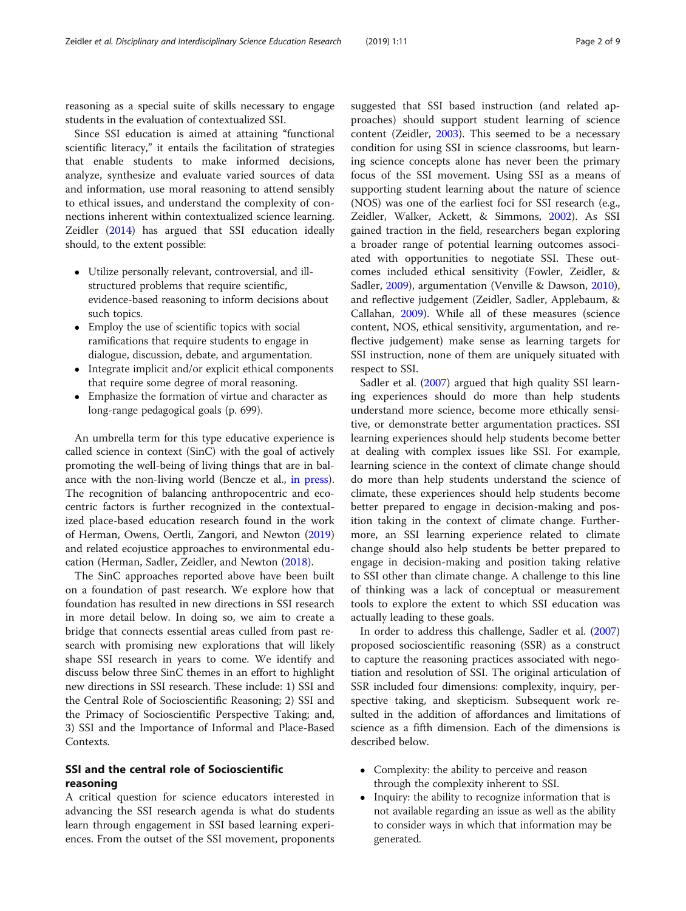reasoning as a special suite of skills necessary to engage students in the evaluation of contextualized SSI.

Since SSI education is aimed at attaining "functional scientific literacy," it entails the facilitation of strategies that enable students to make informed decisions, analyze, synthesize and evaluate varied sources of data and information, use moral reasoning to attend sensibly to ethical issues, and understand the complexity of connections inherent within contextualized science learning. Zeidler ([2014](#page-8-0)) has argued that SSI education ideally should, to the extent possible:

- Utilize personally relevant, controversial, and illstructured problems that require scientific, evidence-based reasoning to inform decisions about such topics.
- Employ the use of scientific topics with social ramifications that require students to engage in dialogue, discussion, debate, and argumentation.
- Integrate implicit and/or explicit ethical components that require some degree of moral reasoning.
- Emphasize the formation of virtue and character as long-range pedagogical goals (p. 699).

An umbrella term for this type educative experience is called science in context (SinC) with the goal of actively promoting the well-being of living things that are in balance with the non-living world (Bencze et al., [in press](#page-7-0)). The recognition of balancing anthropocentric and ecocentric factors is further recognized in the contextualized place-based education research found in the work of Herman, Owens, Oertli, Zangori, and Newton ([2019](#page-7-0)) and related ecojustice approaches to environmental education (Herman, Sadler, Zeidler, and Newton [\(2018](#page-7-0)).

The SinC approaches reported above have been built on a foundation of past research. We explore how that foundation has resulted in new directions in SSI research in more detail below. In doing so, we aim to create a bridge that connects essential areas culled from past research with promising new explorations that will likely shape SSI research in years to come. We identify and discuss below three SinC themes in an effort to highlight new directions in SSI research. These include: 1) SSI and the Central Role of Socioscientific Reasoning; 2) SSI and the Primacy of Socioscientific Perspective Taking; and, 3) SSI and the Importance of Informal and Place-Based Contexts.

# SSI and the central role of Socioscientific reasoning

A critical question for science educators interested in advancing the SSI research agenda is what do students learn through engagement in SSI based learning experiences. From the outset of the SSI movement, proponents

suggested that SSI based instruction (and related approaches) should support student learning of science content (Zeidler, [2003](#page-8-0)). This seemed to be a necessary condition for using SSI in science classrooms, but learning science concepts alone has never been the primary focus of the SSI movement. Using SSI as a means of supporting student learning about the nature of science (NOS) was one of the earliest foci for SSI research (e.g., Zeidler, Walker, Ackett, & Simmons, [2002](#page-8-0)). As SSI gained traction in the field, researchers began exploring a broader range of potential learning outcomes associated with opportunities to negotiate SSI. These outcomes included ethical sensitivity (Fowler, Zeidler, & Sadler, [2009\)](#page-7-0), argumentation (Venville & Dawson, [2010](#page-8-0)), and reflective judgement (Zeidler, Sadler, Applebaum, & Callahan, [2009\)](#page-8-0). While all of these measures (science content, NOS, ethical sensitivity, argumentation, and reflective judgement) make sense as learning targets for SSI instruction, none of them are uniquely situated with respect to SSI.

Sadler et al. [\(2007\)](#page-8-0) argued that high quality SSI learning experiences should do more than help students understand more science, become more ethically sensitive, or demonstrate better argumentation practices. SSI learning experiences should help students become better at dealing with complex issues like SSI. For example, learning science in the context of climate change should do more than help students understand the science of climate, these experiences should help students become better prepared to engage in decision-making and position taking in the context of climate change. Furthermore, an SSI learning experience related to climate change should also help students be better prepared to engage in decision-making and position taking relative to SSI other than climate change. A challenge to this line of thinking was a lack of conceptual or measurement tools to explore the extent to which SSI education was actually leading to these goals.

In order to address this challenge, Sadler et al. ([2007](#page-8-0)) proposed socioscientific reasoning (SSR) as a construct to capture the reasoning practices associated with negotiation and resolution of SSI. The original articulation of SSR included four dimensions: complexity, inquiry, perspective taking, and skepticism. Subsequent work resulted in the addition of affordances and limitations of science as a fifth dimension. Each of the dimensions is described below.

- Complexity: the ability to perceive and reason through the complexity inherent to SSI.
- Inquiry: the ability to recognize information that is not available regarding an issue as well as the ability to consider ways in which that information may be generated.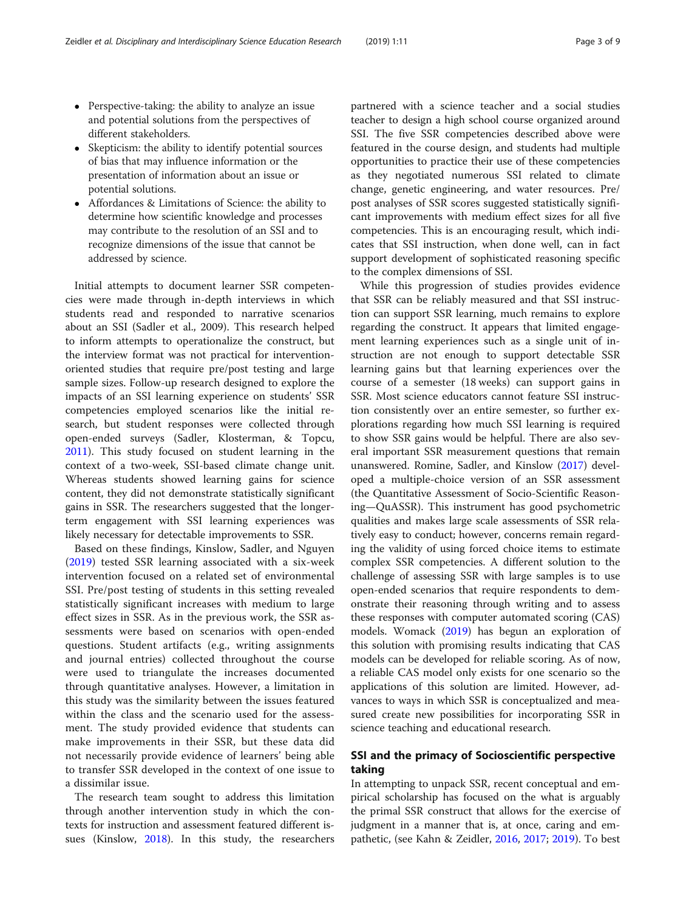- Perspective-taking: the ability to analyze an issue and potential solutions from the perspectives of different stakeholders.
- Skepticism: the ability to identify potential sources of bias that may influence information or the presentation of information about an issue or potential solutions.
- Affordances & Limitations of Science: the ability to determine how scientific knowledge and processes may contribute to the resolution of an SSI and to recognize dimensions of the issue that cannot be addressed by science.

Initial attempts to document learner SSR competencies were made through in-depth interviews in which students read and responded to narrative scenarios about an SSI (Sadler et al., 2009). This research helped to inform attempts to operationalize the construct, but the interview format was not practical for interventionoriented studies that require pre/post testing and large sample sizes. Follow-up research designed to explore the impacts of an SSI learning experience on students' SSR competencies employed scenarios like the initial research, but student responses were collected through open-ended surveys (Sadler, Klosterman, & Topcu, [2011](#page-8-0)). This study focused on student learning in the context of a two-week, SSI-based climate change unit. Whereas students showed learning gains for science content, they did not demonstrate statistically significant gains in SSR. The researchers suggested that the longerterm engagement with SSI learning experiences was likely necessary for detectable improvements to SSR.

Based on these findings, Kinslow, Sadler, and Nguyen ([2019\)](#page-7-0) tested SSR learning associated with a six-week intervention focused on a related set of environmental SSI. Pre/post testing of students in this setting revealed statistically significant increases with medium to large effect sizes in SSR. As in the previous work, the SSR assessments were based on scenarios with open-ended questions. Student artifacts (e.g., writing assignments and journal entries) collected throughout the course were used to triangulate the increases documented through quantitative analyses. However, a limitation in this study was the similarity between the issues featured within the class and the scenario used for the assessment. The study provided evidence that students can make improvements in their SSR, but these data did not necessarily provide evidence of learners' being able to transfer SSR developed in the context of one issue to a dissimilar issue.

The research team sought to address this limitation through another intervention study in which the contexts for instruction and assessment featured different issues (Kinslow, [2018](#page-7-0)). In this study, the researchers partnered with a science teacher and a social studies teacher to design a high school course organized around SSI. The five SSR competencies described above were featured in the course design, and students had multiple opportunities to practice their use of these competencies as they negotiated numerous SSI related to climate change, genetic engineering, and water resources. Pre/ post analyses of SSR scores suggested statistically significant improvements with medium effect sizes for all five competencies. This is an encouraging result, which indicates that SSI instruction, when done well, can in fact support development of sophisticated reasoning specific to the complex dimensions of SSI.

While this progression of studies provides evidence that SSR can be reliably measured and that SSI instruction can support SSR learning, much remains to explore regarding the construct. It appears that limited engagement learning experiences such as a single unit of instruction are not enough to support detectable SSR learning gains but that learning experiences over the course of a semester (18 weeks) can support gains in SSR. Most science educators cannot feature SSI instruction consistently over an entire semester, so further explorations regarding how much SSI learning is required to show SSR gains would be helpful. There are also several important SSR measurement questions that remain unanswered. Romine, Sadler, and Kinslow [\(2017\)](#page-8-0) developed a multiple-choice version of an SSR assessment (the Quantitative Assessment of Socio-Scientific Reasoning—QuASSR). This instrument has good psychometric qualities and makes large scale assessments of SSR relatively easy to conduct; however, concerns remain regarding the validity of using forced choice items to estimate complex SSR competencies. A different solution to the challenge of assessing SSR with large samples is to use open-ended scenarios that require respondents to demonstrate their reasoning through writing and to assess these responses with computer automated scoring (CAS) models. Womack ([2019](#page-8-0)) has begun an exploration of this solution with promising results indicating that CAS models can be developed for reliable scoring. As of now, a reliable CAS model only exists for one scenario so the applications of this solution are limited. However, advances to ways in which SSR is conceptualized and measured create new possibilities for incorporating SSR in science teaching and educational research.

# SSI and the primacy of Socioscientific perspective taking

In attempting to unpack SSR, recent conceptual and empirical scholarship has focused on the what is arguably the primal SSR construct that allows for the exercise of judgment in a manner that is, at once, caring and empathetic, (see Kahn & Zeidler, [2016,](#page-7-0) [2017](#page-7-0); [2019](#page-7-0)). To best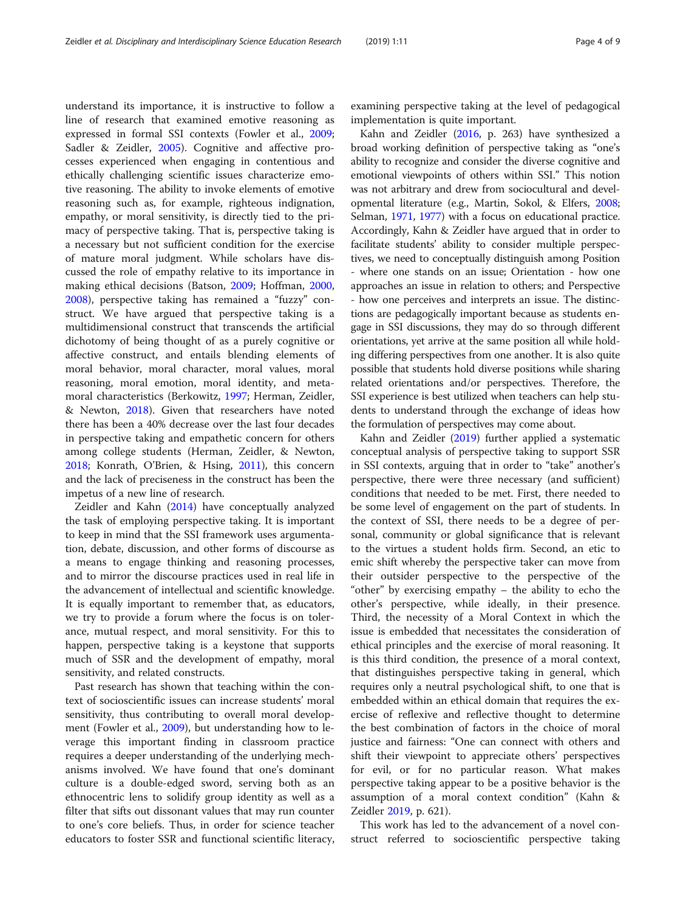understand its importance, it is instructive to follow a line of research that examined emotive reasoning as expressed in formal SSI contexts (Fowler et al., [2009](#page-7-0); Sadler & Zeidler, [2005](#page-8-0)). Cognitive and affective processes experienced when engaging in contentious and ethically challenging scientific issues characterize emotive reasoning. The ability to invoke elements of emotive reasoning such as, for example, righteous indignation, empathy, or moral sensitivity, is directly tied to the primacy of perspective taking. That is, perspective taking is a necessary but not sufficient condition for the exercise of mature moral judgment. While scholars have discussed the role of empathy relative to its importance in making ethical decisions (Batson, [2009;](#page-7-0) Hoffman, [2000](#page-7-0), [2008](#page-7-0)), perspective taking has remained a "fuzzy" construct. We have argued that perspective taking is a multidimensional construct that transcends the artificial dichotomy of being thought of as a purely cognitive or affective construct, and entails blending elements of moral behavior, moral character, moral values, moral reasoning, moral emotion, moral identity, and metamoral characteristics (Berkowitz, [1997;](#page-7-0) Herman, Zeidler, & Newton, [2018](#page-7-0)). Given that researchers have noted there has been a 40% decrease over the last four decades in perspective taking and empathetic concern for others among college students (Herman, Zeidler, & Newton, [2018](#page-7-0); Konrath, O'Brien, & Hsing, [2011](#page-7-0)), this concern and the lack of preciseness in the construct has been the impetus of a new line of research.

Zeidler and Kahn [\(2014\)](#page-8-0) have conceptually analyzed the task of employing perspective taking. It is important to keep in mind that the SSI framework uses argumentation, debate, discussion, and other forms of discourse as a means to engage thinking and reasoning processes, and to mirror the discourse practices used in real life in the advancement of intellectual and scientific knowledge. It is equally important to remember that, as educators, we try to provide a forum where the focus is on tolerance, mutual respect, and moral sensitivity. For this to happen, perspective taking is a keystone that supports much of SSR and the development of empathy, moral sensitivity, and related constructs.

Past research has shown that teaching within the context of socioscientific issues can increase students' moral sensitivity, thus contributing to overall moral development (Fowler et al., [2009](#page-7-0)), but understanding how to leverage this important finding in classroom practice requires a deeper understanding of the underlying mechanisms involved. We have found that one's dominant culture is a double-edged sword, serving both as an ethnocentric lens to solidify group identity as well as a filter that sifts out dissonant values that may run counter to one's core beliefs. Thus, in order for science teacher educators to foster SSR and functional scientific literacy,

examining perspective taking at the level of pedagogical implementation is quite important.

Kahn and Zeidler ([2016,](#page-7-0) p. 263) have synthesized a broad working definition of perspective taking as "one's ability to recognize and consider the diverse cognitive and emotional viewpoints of others within SSI." This notion was not arbitrary and drew from sociocultural and developmental literature (e.g., Martin, Sokol, & Elfers, [2008](#page-7-0); Selman, [1971,](#page-8-0) [1977](#page-8-0)) with a focus on educational practice. Accordingly, Kahn & Zeidler have argued that in order to facilitate students' ability to consider multiple perspectives, we need to conceptually distinguish among Position - where one stands on an issue; Orientation - how one approaches an issue in relation to others; and Perspective - how one perceives and interprets an issue. The distinctions are pedagogically important because as students engage in SSI discussions, they may do so through different orientations, yet arrive at the same position all while holding differing perspectives from one another. It is also quite possible that students hold diverse positions while sharing related orientations and/or perspectives. Therefore, the SSI experience is best utilized when teachers can help students to understand through the exchange of ideas how the formulation of perspectives may come about.

Kahn and Zeidler [\(2019\)](#page-7-0) further applied a systematic conceptual analysis of perspective taking to support SSR in SSI contexts, arguing that in order to "take" another's perspective, there were three necessary (and sufficient) conditions that needed to be met. First, there needed to be some level of engagement on the part of students. In the context of SSI, there needs to be a degree of personal, community or global significance that is relevant to the virtues a student holds firm. Second, an etic to emic shift whereby the perspective taker can move from their outsider perspective to the perspective of the "other" by exercising empathy – the ability to echo the other's perspective, while ideally, in their presence. Third, the necessity of a Moral Context in which the issue is embedded that necessitates the consideration of ethical principles and the exercise of moral reasoning. It is this third condition, the presence of a moral context, that distinguishes perspective taking in general, which requires only a neutral psychological shift, to one that is embedded within an ethical domain that requires the exercise of reflexive and reflective thought to determine the best combination of factors in the choice of moral justice and fairness: "One can connect with others and shift their viewpoint to appreciate others' perspectives for evil, or for no particular reason. What makes perspective taking appear to be a positive behavior is the assumption of a moral context condition" (Kahn & Zeidler [2019](#page-7-0), p. 621).

This work has led to the advancement of a novel construct referred to socioscientific perspective taking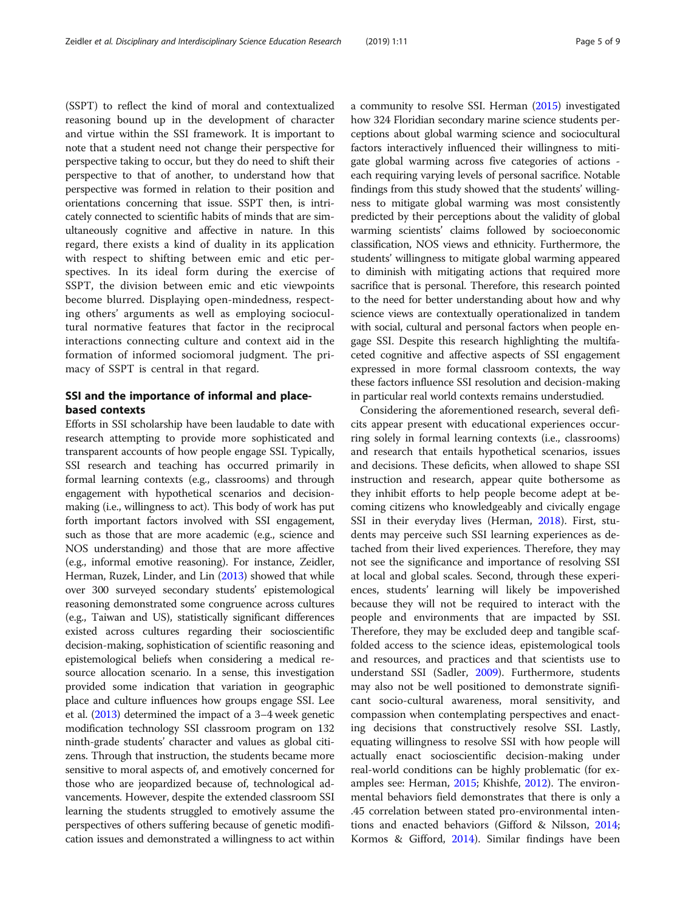(SSPT) to reflect the kind of moral and contextualized reasoning bound up in the development of character and virtue within the SSI framework. It is important to note that a student need not change their perspective for perspective taking to occur, but they do need to shift their perspective to that of another, to understand how that perspective was formed in relation to their position and orientations concerning that issue. SSPT then, is intricately connected to scientific habits of minds that are simultaneously cognitive and affective in nature. In this regard, there exists a kind of duality in its application with respect to shifting between emic and etic perspectives. In its ideal form during the exercise of SSPT, the division between emic and etic viewpoints become blurred. Displaying open-mindedness, respecting others' arguments as well as employing sociocultural normative features that factor in the reciprocal interactions connecting culture and context aid in the formation of informed sociomoral judgment. The primacy of SSPT is central in that regard.

# SSI and the importance of informal and placebased contexts

Efforts in SSI scholarship have been laudable to date with research attempting to provide more sophisticated and transparent accounts of how people engage SSI. Typically, SSI research and teaching has occurred primarily in formal learning contexts (e.g., classrooms) and through engagement with hypothetical scenarios and decisionmaking (i.e., willingness to act). This body of work has put forth important factors involved with SSI engagement, such as those that are more academic (e.g., science and NOS understanding) and those that are more affective (e.g., informal emotive reasoning). For instance, Zeidler, Herman, Ruzek, Linder, and Lin [\(2013\)](#page-8-0) showed that while over 300 surveyed secondary students' epistemological reasoning demonstrated some congruence across cultures (e.g., Taiwan and US), statistically significant differences existed across cultures regarding their socioscientific decision-making, sophistication of scientific reasoning and epistemological beliefs when considering a medical resource allocation scenario. In a sense, this investigation provided some indication that variation in geographic place and culture influences how groups engage SSI. Lee et al. [\(2013\)](#page-7-0) determined the impact of a 3–4 week genetic modification technology SSI classroom program on 132 ninth-grade students' character and values as global citizens. Through that instruction, the students became more sensitive to moral aspects of, and emotively concerned for those who are jeopardized because of, technological advancements. However, despite the extended classroom SSI learning the students struggled to emotively assume the perspectives of others suffering because of genetic modification issues and demonstrated a willingness to act within a community to resolve SSI. Herman [\(2015](#page-7-0)) investigated how 324 Floridian secondary marine science students perceptions about global warming science and sociocultural factors interactively influenced their willingness to mitigate global warming across five categories of actions each requiring varying levels of personal sacrifice. Notable findings from this study showed that the students' willingness to mitigate global warming was most consistently predicted by their perceptions about the validity of global warming scientists' claims followed by socioeconomic classification, NOS views and ethnicity. Furthermore, the students' willingness to mitigate global warming appeared to diminish with mitigating actions that required more sacrifice that is personal. Therefore, this research pointed to the need for better understanding about how and why science views are contextually operationalized in tandem with social, cultural and personal factors when people engage SSI. Despite this research highlighting the multifaceted cognitive and affective aspects of SSI engagement expressed in more formal classroom contexts, the way these factors influence SSI resolution and decision-making in particular real world contexts remains understudied.

Considering the aforementioned research, several deficits appear present with educational experiences occurring solely in formal learning contexts (i.e., classrooms) and research that entails hypothetical scenarios, issues and decisions. These deficits, when allowed to shape SSI instruction and research, appear quite bothersome as they inhibit efforts to help people become adept at becoming citizens who knowledgeably and civically engage SSI in their everyday lives (Herman, [2018\)](#page-7-0). First, students may perceive such SSI learning experiences as detached from their lived experiences. Therefore, they may not see the significance and importance of resolving SSI at local and global scales. Second, through these experiences, students' learning will likely be impoverished because they will not be required to interact with the people and environments that are impacted by SSI. Therefore, they may be excluded deep and tangible scaffolded access to the science ideas, epistemological tools and resources, and practices and that scientists use to understand SSI (Sadler, [2009\)](#page-8-0). Furthermore, students may also not be well positioned to demonstrate significant socio-cultural awareness, moral sensitivity, and compassion when contemplating perspectives and enacting decisions that constructively resolve SSI. Lastly, equating willingness to resolve SSI with how people will actually enact socioscientific decision-making under real-world conditions can be highly problematic (for examples see: Herman, [2015;](#page-7-0) Khishfe, [2012](#page-7-0)). The environmental behaviors field demonstrates that there is only a .45 correlation between stated pro-environmental intentions and enacted behaviors (Gifford & Nilsson, [2014](#page-7-0); Kormos & Gifford, [2014\)](#page-7-0). Similar findings have been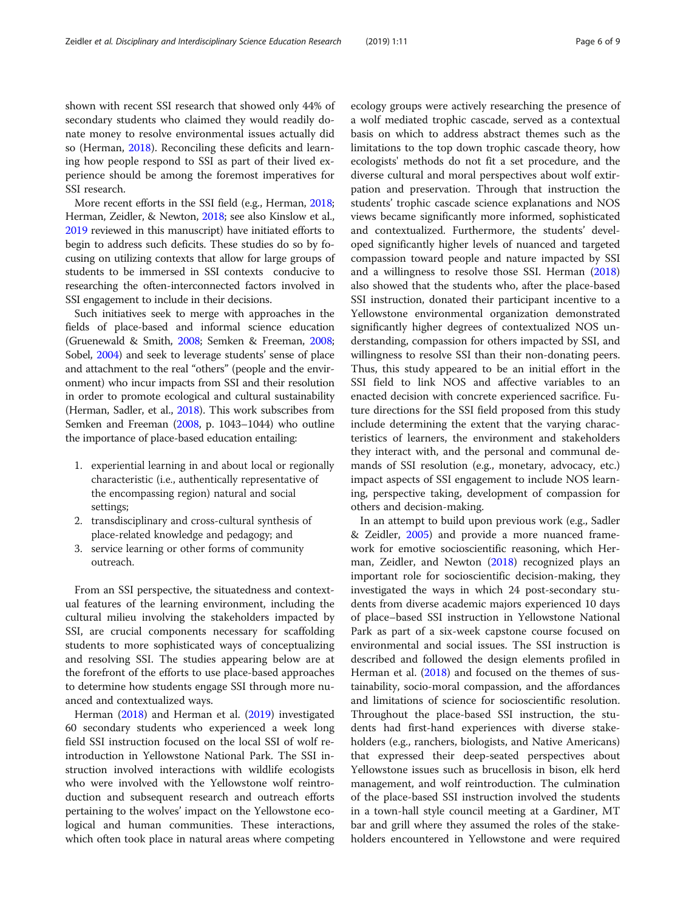shown with recent SSI research that showed only 44% of secondary students who claimed they would readily donate money to resolve environmental issues actually did so (Herman, [2018](#page-7-0)). Reconciling these deficits and learning how people respond to SSI as part of their lived experience should be among the foremost imperatives for SSI research.

More recent efforts in the SSI field (e.g., Herman, [2018](#page-7-0); Herman, Zeidler, & Newton, [2018;](#page-7-0) see also Kinslow et al., [2019](#page-7-0) reviewed in this manuscript) have initiated efforts to begin to address such deficits. These studies do so by focusing on utilizing contexts that allow for large groups of students to be immersed in SSI contexts conducive to researching the often-interconnected factors involved in SSI engagement to include in their decisions.

Such initiatives seek to merge with approaches in the fields of place-based and informal science education (Gruenewald & Smith, [2008;](#page-7-0) Semken & Freeman, [2008](#page-8-0); Sobel, [2004](#page-8-0)) and seek to leverage students' sense of place and attachment to the real "others" (people and the environment) who incur impacts from SSI and their resolution in order to promote ecological and cultural sustainability (Herman, Sadler, et al., [2018](#page-7-0)). This work subscribes from Semken and Freeman [\(2008,](#page-8-0) p. 1043–1044) who outline the importance of place-based education entailing:

- 1. experiential learning in and about local or regionally characteristic (i.e., authentically representative of the encompassing region) natural and social settings;
- 2. transdisciplinary and cross-cultural synthesis of place-related knowledge and pedagogy; and
- 3. service learning or other forms of community outreach.

From an SSI perspective, the situatedness and contextual features of the learning environment, including the cultural milieu involving the stakeholders impacted by SSI, are crucial components necessary for scaffolding students to more sophisticated ways of conceptualizing and resolving SSI. The studies appearing below are at the forefront of the efforts to use place-based approaches to determine how students engage SSI through more nuanced and contextualized ways.

Herman [\(2018\)](#page-7-0) and Herman et al. ([2019](#page-7-0)) investigated 60 secondary students who experienced a week long field SSI instruction focused on the local SSI of wolf reintroduction in Yellowstone National Park. The SSI instruction involved interactions with wildlife ecologists who were involved with the Yellowstone wolf reintroduction and subsequent research and outreach efforts pertaining to the wolves' impact on the Yellowstone ecological and human communities. These interactions, which often took place in natural areas where competing ecology groups were actively researching the presence of a wolf mediated trophic cascade, served as a contextual basis on which to address abstract themes such as the limitations to the top down trophic cascade theory, how ecologists' methods do not fit a set procedure, and the diverse cultural and moral perspectives about wolf extirpation and preservation. Through that instruction the students' trophic cascade science explanations and NOS views became significantly more informed, sophisticated and contextualized. Furthermore, the students' developed significantly higher levels of nuanced and targeted compassion toward people and nature impacted by SSI and a willingness to resolve those SSI. Herman ([2018](#page-7-0)) also showed that the students who, after the place-based SSI instruction, donated their participant incentive to a Yellowstone environmental organization demonstrated significantly higher degrees of contextualized NOS understanding, compassion for others impacted by SSI, and willingness to resolve SSI than their non-donating peers. Thus, this study appeared to be an initial effort in the SSI field to link NOS and affective variables to an enacted decision with concrete experienced sacrifice. Future directions for the SSI field proposed from this study include determining the extent that the varying characteristics of learners, the environment and stakeholders they interact with, and the personal and communal demands of SSI resolution (e.g., monetary, advocacy, etc.) impact aspects of SSI engagement to include NOS learning, perspective taking, development of compassion for others and decision-making.

In an attempt to build upon previous work (e.g., Sadler & Zeidler, [2005\)](#page-8-0) and provide a more nuanced framework for emotive socioscientific reasoning, which Herman, Zeidler, and Newton ([2018](#page-7-0)) recognized plays an important role for socioscientific decision-making, they investigated the ways in which 24 post-secondary students from diverse academic majors experienced 10 days of place–based SSI instruction in Yellowstone National Park as part of a six-week capstone course focused on environmental and social issues. The SSI instruction is described and followed the design elements profiled in Herman et al. ([2018](#page-7-0)) and focused on the themes of sustainability, socio-moral compassion, and the affordances and limitations of science for socioscientific resolution. Throughout the place-based SSI instruction, the students had first-hand experiences with diverse stakeholders (e.g., ranchers, biologists, and Native Americans) that expressed their deep-seated perspectives about Yellowstone issues such as brucellosis in bison, elk herd management, and wolf reintroduction. The culmination of the place-based SSI instruction involved the students in a town-hall style council meeting at a Gardiner, MT bar and grill where they assumed the roles of the stakeholders encountered in Yellowstone and were required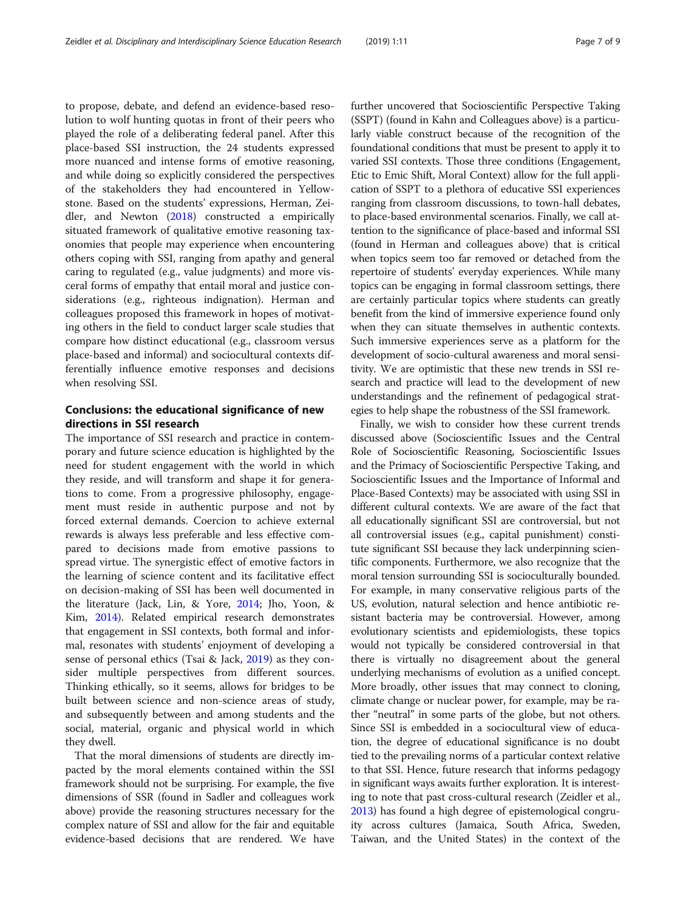to propose, debate, and defend an evidence-based resolution to wolf hunting quotas in front of their peers who played the role of a deliberating federal panel. After this place-based SSI instruction, the 24 students expressed more nuanced and intense forms of emotive reasoning, and while doing so explicitly considered the perspectives of the stakeholders they had encountered in Yellowstone. Based on the students' expressions, Herman, Zeidler, and Newton ([2018](#page-7-0)) constructed a empirically situated framework of qualitative emotive reasoning taxonomies that people may experience when encountering others coping with SSI, ranging from apathy and general caring to regulated (e.g., value judgments) and more visceral forms of empathy that entail moral and justice considerations (e.g., righteous indignation). Herman and colleagues proposed this framework in hopes of motivating others in the field to conduct larger scale studies that compare how distinct educational (e.g., classroom versus place-based and informal) and sociocultural contexts differentially influence emotive responses and decisions when resolving SSI.

# Conclusions: the educational significance of new directions in SSI research

The importance of SSI research and practice in contemporary and future science education is highlighted by the need for student engagement with the world in which they reside, and will transform and shape it for generations to come. From a progressive philosophy, engagement must reside in authentic purpose and not by forced external demands. Coercion to achieve external rewards is always less preferable and less effective compared to decisions made from emotive passions to spread virtue. The synergistic effect of emotive factors in the learning of science content and its facilitative effect on decision-making of SSI has been well documented in the literature (Jack, Lin, & Yore, [2014](#page-7-0); Jho, Yoon, & Kim, [2014](#page-7-0)). Related empirical research demonstrates that engagement in SSI contexts, both formal and informal, resonates with students' enjoyment of developing a sense of personal ethics (Tsai & Jack, [2019\)](#page-8-0) as they consider multiple perspectives from different sources. Thinking ethically, so it seems, allows for bridges to be built between science and non-science areas of study, and subsequently between and among students and the social, material, organic and physical world in which they dwell.

That the moral dimensions of students are directly impacted by the moral elements contained within the SSI framework should not be surprising. For example, the five dimensions of SSR (found in Sadler and colleagues work above) provide the reasoning structures necessary for the complex nature of SSI and allow for the fair and equitable evidence-based decisions that are rendered. We have further uncovered that Socioscientific Perspective Taking (SSPT) (found in Kahn and Colleagues above) is a particularly viable construct because of the recognition of the foundational conditions that must be present to apply it to varied SSI contexts. Those three conditions (Engagement, Etic to Emic Shift, Moral Context) allow for the full application of SSPT to a plethora of educative SSI experiences ranging from classroom discussions, to town-hall debates, to place-based environmental scenarios. Finally, we call attention to the significance of place-based and informal SSI (found in Herman and colleagues above) that is critical when topics seem too far removed or detached from the repertoire of students' everyday experiences. While many topics can be engaging in formal classroom settings, there are certainly particular topics where students can greatly benefit from the kind of immersive experience found only when they can situate themselves in authentic contexts. Such immersive experiences serve as a platform for the development of socio-cultural awareness and moral sensitivity. We are optimistic that these new trends in SSI research and practice will lead to the development of new understandings and the refinement of pedagogical strategies to help shape the robustness of the SSI framework.

Finally, we wish to consider how these current trends discussed above (Socioscientific Issues and the Central Role of Socioscientific Reasoning, Socioscientific Issues and the Primacy of Socioscientific Perspective Taking, and Socioscientific Issues and the Importance of Informal and Place-Based Contexts) may be associated with using SSI in different cultural contexts. We are aware of the fact that all educationally significant SSI are controversial, but not all controversial issues (e.g., capital punishment) constitute significant SSI because they lack underpinning scientific components. Furthermore, we also recognize that the moral tension surrounding SSI is socioculturally bounded. For example, in many conservative religious parts of the US, evolution, natural selection and hence antibiotic resistant bacteria may be controversial. However, among evolutionary scientists and epidemiologists, these topics would not typically be considered controversial in that there is virtually no disagreement about the general underlying mechanisms of evolution as a unified concept. More broadly, other issues that may connect to cloning, climate change or nuclear power, for example, may be rather "neutral" in some parts of the globe, but not others. Since SSI is embedded in a sociocultural view of education, the degree of educational significance is no doubt tied to the prevailing norms of a particular context relative to that SSI. Hence, future research that informs pedagogy in significant ways awaits further exploration. It is interesting to note that past cross-cultural research (Zeidler et al., [2013\)](#page-8-0) has found a high degree of epistemological congruity across cultures (Jamaica, South Africa, Sweden, Taiwan, and the United States) in the context of the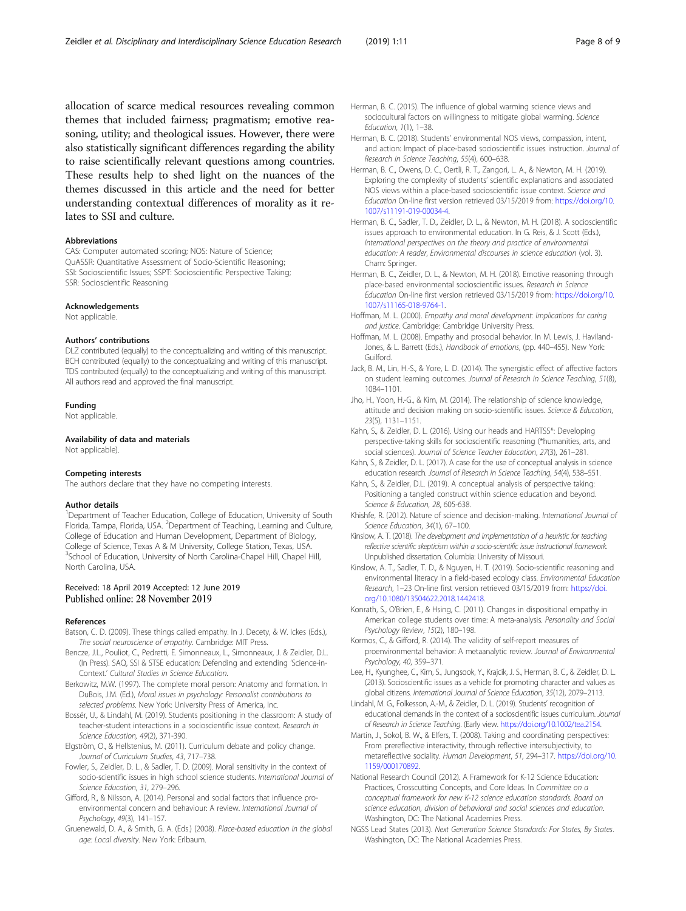<span id="page-7-0"></span>allocation of scarce medical resources revealing common themes that included fairness; pragmatism; emotive reasoning, utility; and theological issues. However, there were also statistically significant differences regarding the ability to raise scientifically relevant questions among countries. These results help to shed light on the nuances of the themes discussed in this article and the need for better understanding contextual differences of morality as it relates to SSI and culture.

#### Abbreviations

CAS: Computer automated scoring; NOS: Nature of Science; QuASSR: Quantitative Assessment of Socio-Scientific Reasoning; SSI: Socioscientific Issues; SSPT: Socioscientific Perspective Taking; SSR: Socioscientific Reasoning

#### Acknowledgements

Not applicable.

#### Authors' contributions

DLZ contributed (equally) to the conceptualizing and writing of this manuscript. BCH contributed (equally) to the conceptualizing and writing of this manuscript. TDS contributed (equally) to the conceptualizing and writing of this manuscript. All authors read and approved the final manuscript.

#### Funding

Not applicable.

Availability of data and materials Not applicable).

#### Competing interests

The authors declare that they have no competing interests.

#### Author details

<sup>1</sup>Department of Teacher Education, College of Education, University of South Florida, Tampa, Florida, USA. <sup>2</sup>Department of Teaching, Learning and Culture, College of Education and Human Development, Department of Biology, College of Science, Texas A & M University, College Station, Texas, USA. <sup>3</sup>School of Education, University of North Carolina-Chapel Hill, Chapel Hill, North Carolina, USA.

### Received: 18 April 2019 Accepted: 12 June 2019 Published online: 28 November 2019

#### References

- Batson, C. D. (2009). These things called empathy. In J. Decety, & W. Ickes (Eds.), The social neuroscience of empathy. Cambridge: MIT Press.
- Bencze, J.L., Pouliot, C., Pedretti, E. Simonneaux, L., Simonneaux, J. & Zeidler, D.L. (In Press). SAQ, SSI & STSE education: Defending and extending 'Science-in-Context.' Cultural Studies in Science Education.
- Berkowitz, M.W. (1997). The complete moral person: Anatomy and formation. In DuBois, J.M. (Ed.), Moral issues in psychology: Personalist contributions to selected problems. New York: University Press of America, Inc.
- Bossér, U., & Lindahl, M. (2019). Students positioning in the classroom: A study of teacher-student interactions in a socioscientific issue context. Research in Science Education, 49(2), 371-390.
- Elgström, O., & Hellstenius, M. (2011). Curriculum debate and policy change. Journal of Curriculum Studies, 43, 717–738.
- Fowler, S., Zeidler, D. L., & Sadler, T. D. (2009). Moral sensitivity in the context of socio-scientific issues in high school science students. International Journal of Science Education, 31, 279–296.
- Gifford, R., & Nilsson, A. (2014). Personal and social factors that influence proenvironmental concern and behaviour: A review. International Journal of Psychology, 49(3), 141–157.
- Gruenewald, D. A., & Smith, G. A. (Eds.) (2008). Place-based education in the global age: Local diversity. New York: Erlbaum.
- Herman, B. C. (2015). The influence of global warming science views and sociocultural factors on willingness to mitigate global warming. Science Education, 1(1), 1–38.
- Herman, B. C. (2018). Students' environmental NOS views, compassion, intent, and action: Impact of place-based socioscientific issues instruction. Journal of Research in Science Teaching, 55(4), 600–638.
- Herman, B. C., Owens, D. C., Oertli, R. T., Zangori, L. A., & Newton, M. H. (2019). Exploring the complexity of students' scientific explanations and associated NOS views within a place-based socioscientific issue context. Science and Education On-line first version retrieved 03/15/2019 from: [https://doi.org/10.](https://doi.org/10.1007/s11191-019-00034-4) [1007/s11191-019-00034-4](https://doi.org/10.1007/s11191-019-00034-4).
- Herman, B. C., Sadler, T. D., Zeidler, D. L., & Newton, M. H. (2018). A socioscientific issues approach to environmental education. In G. Reis, & J. Scott (Eds.), International perspectives on the theory and practice of environmental education: A reader, Environmental discourses in science education (vol. 3). Cham: Springer.
- Herman, B. C., Zeidler, D. L., & Newton, M. H. (2018). Emotive reasoning through place-based environmental socioscientific issues. Research in Science Education On-line first version retrieved 03/15/2019 from: [https://doi.org/10.](https://doi.org/10.1007/s11165-018-9764-1) [1007/s11165-018-9764-1](https://doi.org/10.1007/s11165-018-9764-1).
- Hoffman, M. L. (2000). Empathy and moral development: Implications for caring and justice. Cambridge: Cambridge University Press.
- Hoffman, M. L. (2008). Empathy and prosocial behavior. In M. Lewis, J. Haviland-Jones, & L. Barrett (Eds.), Handbook of emotions, (pp. 440-455). New York: Guilford.
- Jack, B. M., Lin, H.-S., & Yore, L. D. (2014). The synergistic effect of affective factors on student learning outcomes. Journal of Research in Science Teaching, 51(8), 1084–1101.
- Jho, H., Yoon, H.-G., & Kim, M. (2014). The relationship of science knowledge, attitude and decision making on socio-scientific issues. Science & Education, 23(5), 1131–1151.
- Kahn, S., & Zeidler, D. L. (2016). Using our heads and HARTSS\*: Developing perspective-taking skills for socioscientific reasoning (\*humanities, arts, and social sciences). Journal of Science Teacher Education, 27(3), 261–281.
- Kahn, S., & Zeidler, D. L. (2017). A case for the use of conceptual analysis in science education research. Journal of Research in Science Teaching, 54(4), 538–551.
- Kahn, S., & Zeidler, D.L. (2019). A conceptual analysis of perspective taking: Positioning a tangled construct within science education and beyond. Science & Education, 28, 605-638.
- Khishfe, R. (2012). Nature of science and decision-making. International Journal of Science Education, 34(1), 67–100.
- Kinslow, A. T. (2018). The development and implementation of a heuristic for teaching reflective scientific skepticism within a socio-scientific issue instructional framework. Unpublished dissertation. Columbia: University of Missouri.
- Kinslow, A. T., Sadler, T. D., & Nguyen, H. T. (2019). Socio-scientific reasoning and environmental literacy in a field-based ecology class. Environmental Education Research, 1–23 On-line first version retrieved 03/15/2019 from: [https://doi.](https://doi.org/10.1080/13504622.2018.1442418) [org/10.1080/13504622.2018.1442418](https://doi.org/10.1080/13504622.2018.1442418).
- Konrath, S., O'Brien, E., & Hsing, C. (2011). Changes in dispositional empathy in American college students over time: A meta-analysis. Personality and Social Psychology Review, 15(2), 180–198.
- Kormos, C., & Gifford, R. (2014). The validity of self-report measures of proenvironmental behavior: A metaanalytic review. Journal of Environmental Psychology, 40, 359–371.
- Lee, H., Kyunghee, C., Kim, S., Jungsook, Y., Krajcik, J. S., Herman, B. C., & Zeidler, D. L. (2013). Socioscientific issues as a vehicle for promoting character and values as global citizens. International Journal of Science Education, 35(12), 2079–2113.
- Lindahl, M. G., Folkesson, A.-M., & Zeidler, D. L. (2019). Students' recognition of educational demands in the context of a socioscientific issues curriculum. Journal of Research in Science Teaching. (Early view. <https://doi.org/10.1002/tea.2154>.
- Martin, J., Sokol, B. W., & Elfers, T. (2008). Taking and coordinating perspectives: From prereflective interactivity, through reflective intersubjectivity, to metareflective sociality. Human Development, 51, 294–317. [https://doi.org/10.](https://doi.org/10.1159/000170892) [1159/000170892.](https://doi.org/10.1159/000170892)
- National Research Council (2012). A Framework for K-12 Science Education: Practices, Crosscutting Concepts, and Core Ideas. In Committee on a conceptual framework for new K-12 science education standards. Board on science education, division of behavioral and social sciences and education. Washington, DC: The National Academies Press.
- NGSS Lead States (2013). Next Generation Science Standards: For States, By States. Washington, DC: The National Academies Press.